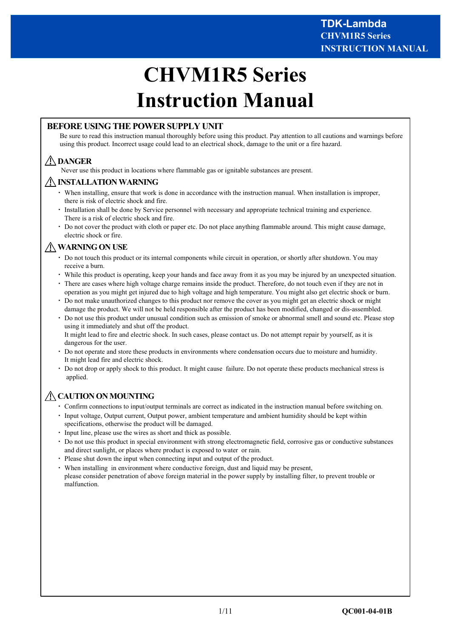# **CHVM1R5 Series Instruction Manual**

#### **BEFORE USING THE POWER SUPPLY UNIT**

Be sure to read this instruction manual thoroughly before using this product. Pay attention to all cautions and warnings before using this product. Incorrect usage could lead to an electrical shock, damage to the unit or a fire hazard.

# **DANGER**

Never use this product in locations where flammable gas or ignitable substances are present.

#### **INSTALLATION WARNING**

- ・ When installing, ensure that work is done in accordance with the instruction manual. When installation is improper, there is risk of electric shock and fire.
- ・ Installation shall be done by Service personnel with necessary and appropriate technical training and experience. There is a risk of electric shock and fire.
- ・ Do not cover the product with cloth or paper etc. Do not place anything flammable around. This might cause damage, electric shock or fire.

# **WARNING ON USE**

- ・ Do not touch this product or its internal components while circuit in operation, or shortly after shutdown. You may receive a burn.
- ・ While this product is operating, keep your hands and face away from it as you may be injured by an unexpected situation.
- ・ There are cases where high voltage charge remains inside the product. Therefore, do not touch even if they are not in operation as you might get injured due to high voltage and high temperature. You might also get electric shock or burn.
- ・ Do not make unauthorized changes to this product nor remove the cover as you might get an electric shock or might damage the product. We will not be held responsible after the product has been modified, changed or dis-assembled.
- ・ Do not use this product under unusual condition such as emission of smoke or abnormal smell and sound etc. Please stop using it immediately and shut off the product. It might lead to fire and electric shock. In such cases, please contact us. Do not attempt repair by yourself, as it is dangerous for the user.
- ・ Do not operate and store these products in environments where condensation occurs due to moisture and humidity. It might lead fire and electric shock.
- ・ Do not drop or apply shock to this product. It might cause failure. Do not operate these products mechanical stress is applied.

# **CAUTION ON MOUNTING**

- ・ Confirm connections to input/output terminals are correct as indicated in the instruction manual before switching on.
- Input voltage, Output current, Output power, ambient temperature and ambient humidity should be kept within specifications, otherwise the product will be damaged.
- Input line, please use the wires as short and thick as possible.
- ・ Do not use this product in special environment with strong electromagnetic field, corrosive gas or conductive substances and direct sunlight, or places where product is exposed to water or rain.
- ・ Please shut down the input when connecting input and output of the product.
- ・ When installing in environment where conductive foreign, dust and liquid may be present, please consider penetration of above foreign material in the power supply by installing filter, to prevent trouble or malfunction.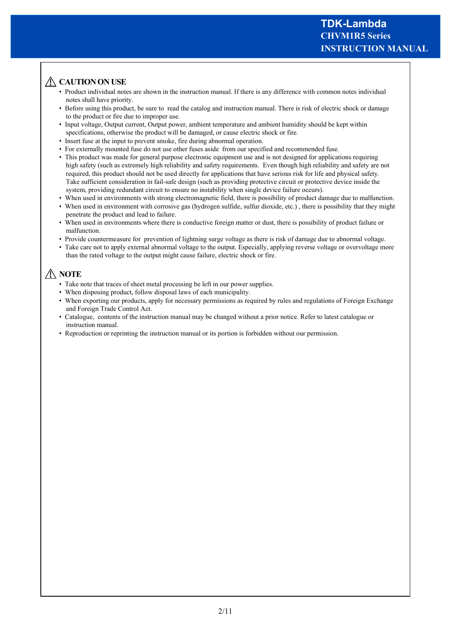# A CAUTION ON USE

- Product individual notes are shown in the instruction manual. If there is any difference with common notes individual notes shall have priority.
- Before using this product, be sure to read the catalog and instruction manual. There is risk of electric shock or damage to the product or fire due to improper use.
- Input voltage, Output current, Output power, ambient temperature and ambient humidity should be kept within specifications, otherwise the product will be damaged, or cause electric shock or fire.
- Insert fuse at the input to prevent smoke, fire during abnormal operation.
- For externally mounted fuse do not use other fuses aside from our specified and recommended fuse.
- This product was made for general purpose electronic equipment use and is not designed for applications requiring high safety (such as extremely high reliability and safety requirements. Even though high reliability and safety are not required, this product should not be used directly for applications that have serious risk for life and physical safety. Take sufficient consideration in fail-safe design (such as providing protective circuit or protective device inside the system, providing redundant circuit to ensure no instability when single device failure occurs).
- When used in environments with strong electromagnetic field, there is possibility of product damage due to malfunction.
- When used in environment with corrosive gas (hydrogen sulfide, sulfur dioxide, etc.), there is possibility that they might penetrate the product and lead to failure.
- When used in environments where there is conductive foreign matter or dust, there is possibility of product failure or malfunction.
- Provide countermeasure for prevention of lightning surge voltage as there is risk of damage due to abnormal voltage.
- Take care not to apply external abnormal voltage to the output. Especially, applying reverse voltage or overvoltage more than the rated voltage to the output might cause failure, electric shock or fire.

# **NOTE**

- Take note that traces of sheet metal processing be left in our power supplies.
- When disposing product, follow disposal laws of each municipality.
- When exporting our products, apply for necessary permissions as required by rules and regulations of Foreign Exchange and Foreign Trade Control Act.
- Catalogue, contents of the instruction manual may be changed without a prior notice. Refer to latest catalogue or instruction manual.
- Reproduction or reprinting the instruction manual or its portion is forbidden without our permission.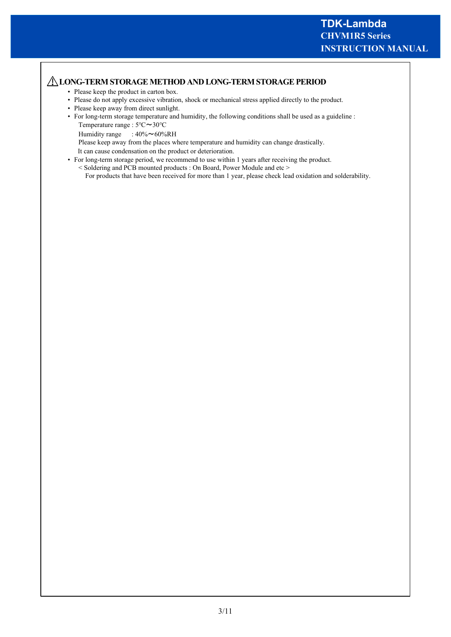## **LONG-TERM STORAGE METHOD AND LONG-TERM STORAGE PERIOD**

- Please keep the product in carton box.
- Please do not apply excessive vibration, shock or mechanical stress applied directly to the product.
- Please keep away from direct sunlight.
- For long-term storage temperature and humidity, the following conditions shall be used as a guideline : Temperature range : 5℃~30℃
	- Humidity range :  $40\% \sim 60\% \text{RH}$

Please keep away from the places where temperature and humidity can change drastically.

It can cause condensation on the product or deterioration.

- For long-term storage period, we recommend to use within 1 years after receiving the product.
	- < Soldering and PCB mounted products : On Board, Power Module and etc > For products that have been received for more than 1 year, please check lead oxidation and solderability.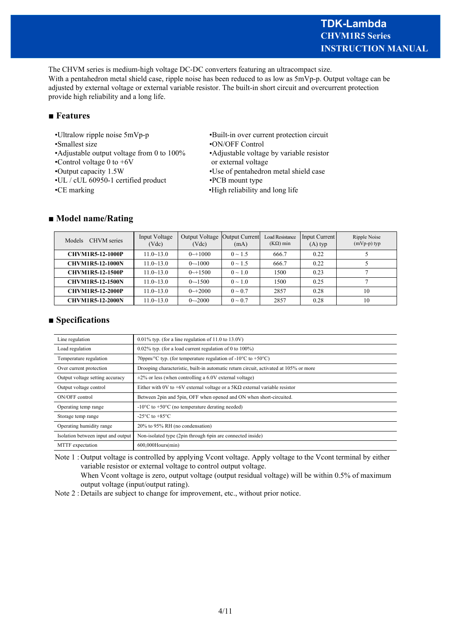# **INSTRUCTION MANUAL CHVM1R5 Series TDK-Lambda**

The CHVM series is medium-high voltage DC-DC converters featuring an ultracompact size. With a pentahedron metal shield case, ripple noise has been reduced to as low as  $5mVp-p$ . Output voltage can be adjusted by external voltage or external variable resistor. The built-in short circuit and overcurrent protection provide high reliability and a long life.

#### **■ Features**

- •Ultralow ripple noise 5mVp-p •Built-in over current protection circuit
- •Smallest size •ON/OFF Control
- 
- •Control voltage  $0$  to  $+6V$  or external voltage
- 
- •UL / cUL 60950-1 certified product •PCB mount type
- 
- 
- 
- •Adjustable output voltage from 0 to 100% •Adjustable voltage by variable resistor
- •Output capacity 1.5W •Use of pentahedron metal shield case
	-
- •CE marking •High reliability and long life

# **■ Model name/Rating**

| CHVM series<br>Models   | Input Voltage<br>(Vdc) | Output Voltage<br>(Vdc) | Output Current<br>(mA) | <b>Load Resistance</b><br>$(K\Omega)$ min | Input Current<br>$(A)$ typ | Ripple Noise<br>$(mVp-p)$ typ |
|-------------------------|------------------------|-------------------------|------------------------|-------------------------------------------|----------------------------|-------------------------------|
| <b>CHVM1R5-12-1000P</b> | $11.0 - 13.0$          | $0 \rightarrow 1000$    | $0 \sim 1.5$           | 666.7                                     | 0.22                       |                               |
| <b>CHVM1R5-12-1000N</b> | $11.0 - 13.0$          | $0$ $\sim$ 1000         | $0 \sim 1.5$           | 666.7                                     | 0.22                       |                               |
| <b>CHVM1R5-12-1500P</b> | $11.0 \sim 13.0$       | $0 \rightarrow 1500$    | $0 \sim 1.0$           | 1500                                      | 0.23                       |                               |
| <b>CHVM1R5-12-1500N</b> | $11.0 - 13.0$          | $0 - 1500$              | $0 \sim 1.0$           | 1500                                      | 0.25                       |                               |
| <b>CHVM1R5-12-2000P</b> | $11.0 \sim 13.0$       | $0 \rightarrow 2000$    | $0 \sim 0.7$           | 2857                                      | 0.28                       | 10                            |
| <b>CHVM1R5-12-2000N</b> | $11.0 - 13.0$          | $0 - 2000$              | $0 \sim 0.7$           | 2857                                      | 0.28                       | 10                            |

# **■ Specifications**

| Line regulation                    | $0.01\%$ typ. (for a line regulation of 11.0 to 13.0V)                                |  |
|------------------------------------|---------------------------------------------------------------------------------------|--|
| Load regulation                    | $0.02\%$ typ. (for a load current regulation of 0 to 100%)                            |  |
| Temperature regulation             | 70ppm/°C typ. (for temperature regulation of -10°C to +50°C)                          |  |
| Over current protection            | Drooping characteristic, built-in automatic return circuit, activated at 105% or more |  |
| Output voltage setting accuracy    | $\pm$ 2% or less (when controlling a 6.0V external voltage)                           |  |
| Output voltage control             | Either with 0V to +6V external voltage or a $5K\Omega$ external variable resistor     |  |
| ON/OFF control                     | Between 2pin and 5pin, OFF when opened and ON when short-circuited.                   |  |
| Operating temp range               | $-10^{\circ}$ C to $+50^{\circ}$ C (no temperature derating needed)                   |  |
| Storage temp range                 | -25 $\mathrm{^{\circ}C}$ to +85 $\mathrm{^{\circ}C}$                                  |  |
| Operating humidity range           | 20% to 95% RH (no condensation)                                                       |  |
| Isolation between input and output | Non-isolated type (2pin through 6pin are connected inside)                            |  |
| MTTF expectation                   | $600,000$ Hours $(min)$                                                               |  |

Note 1 : Output voltage is controlled by applying Vcont voltage. Apply voltage to the Vcont terminal by either variable resistor or external voltage to control output voltage.

When Vcont voltage is zero, output voltage (output residual voltage) will be within 0.5% of maximum output voltage (input/output rating).

Note 2 : Details are subject to change for improvement, etc., without prior notice.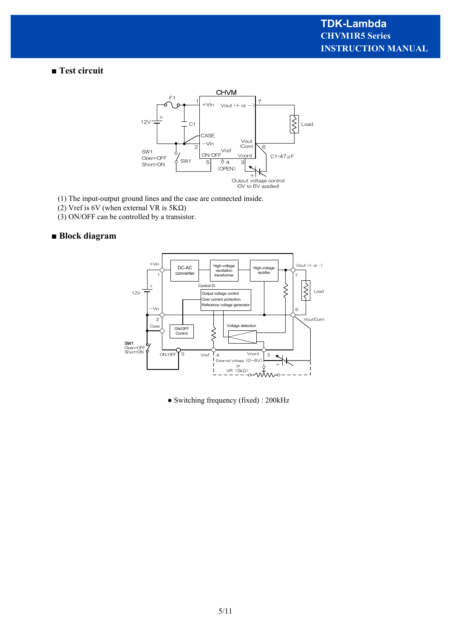■ Test circuit



- (1) The input-output ground lines and the case are connected inside.
- (2) Vref is 6V (when external VR is 5KΩ)
- (3) ON/OFF can be controlled by a transistor.

#### **■ Block diagram**



● Switching frequency (fixed) : 200kHz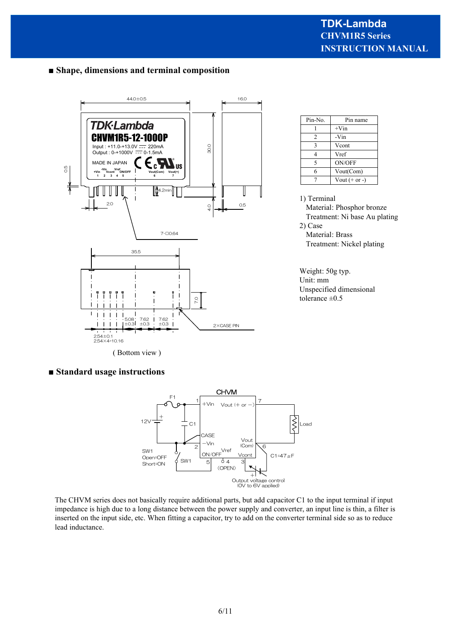# **■ Shape, dimensions and terminal composition**



| Pin-No.        | Pin name           |  |  |
|----------------|--------------------|--|--|
|                | $+V$ in            |  |  |
| $\mathfrak{D}$ | -Vin               |  |  |
| 3              | Vcont              |  |  |
|                | Vref               |  |  |
| 5              | <b>ON/OFF</b>      |  |  |
| 6              | Vout(Com)          |  |  |
|                | Vout $(+$ or - $)$ |  |  |

1) Terminal Material: Phosphor bronze Treatment: Ni base Au plating 2) Case Material: Brass Treatment: Nickel plating

Weight: 50g typ. Unit: mm Unspecified dimensional tolerance ±0.5

#### **■ Standard usage instructions**



The CHVM series does not basically require additional parts, but add capacitor C1 to the input terminal if input impedance is high due to a long distance between the power supply and converter, an input line is thin, a filter is inserted on the input side, etc. When fitting a capacitor, try to add on the converter terminal side so as to reduce lead inductance.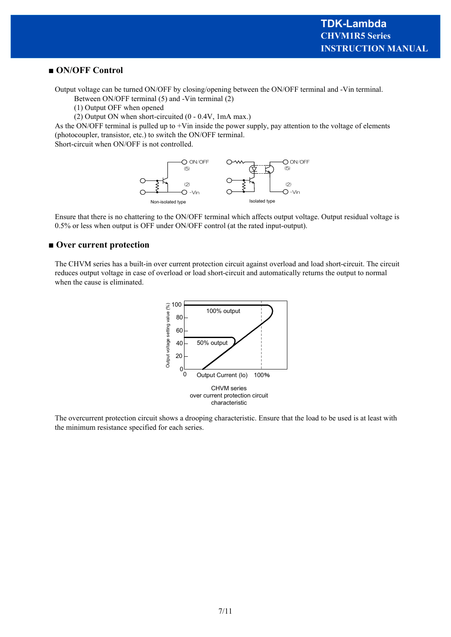#### **■ ON/OFF Control**

Output voltage can be turned ON/OFF by closing/opening between the ON/OFF terminal and -Vin terminal.

Between ON/OFF terminal (5) and -Vin terminal (2)

(1) Output OFF when opened

(2) Output ON when short-circuited (0 - 0.4V, 1mA max.)

As the ON/OFF terminal is pulled up to +Vin inside the power supply, pay attention to the voltage of elements (photocoupler, transistor, etc.) to switch the ON/OFF terminal.

Short-circuit when ON/OFF is not controlled.



Ensure that there is no chattering to the ON/OFF terminal which affects output voltage. Output residual voltage is 0.5% or less when output is OFF under ON/OFF control (at the rated input-output).

#### **■ Over current protection**

The CHVM series has a built-in over current protection circuit against overload and load short-circuit. The circuit reduces output voltage in case of overload or load short-circuit and automatically returns the output to normal when the cause is eliminated.



The overcurrent protection circuit shows a drooping characteristic. Ensure that the load to be used is at least with the minimum resistance specified for each series.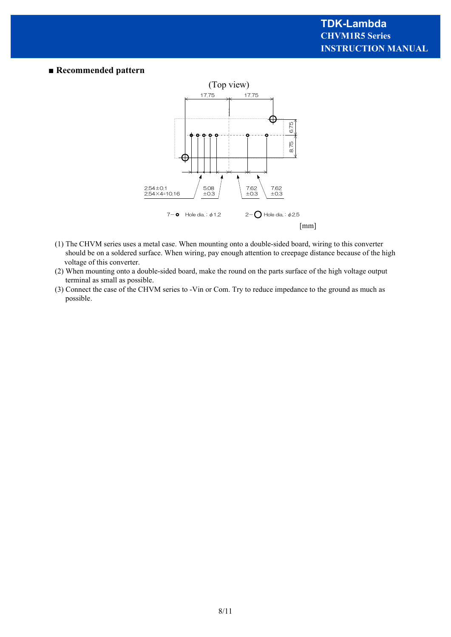#### **■ Recommended pattern**



- (1) The CHVM series uses a metal case. When mounting onto a double-sided board, wiring to this converter should be on a soldered surface. When wiring, pay enough attention to creepage distance because of the high voltage of this converter.
- (2) When mounting onto a double-sided board, make the round on the parts surface of the high voltage output terminal as small as possible.
- (3) Connect the case of the CHVM series to -Vin or Com. Try to reduce impedance to the ground as much as possible.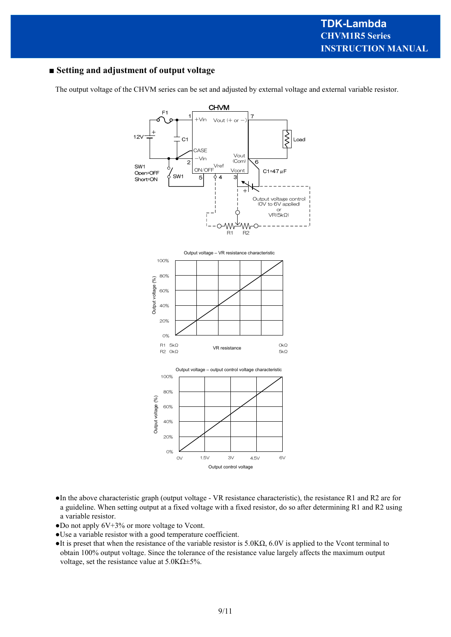## **■ Setting and adjustment of output voltage**

The output voltage of the CHVM series can be set and adjusted by external voltage and external variable resistor.



- ●In the above characteristic graph (output voltage VR resistance characteristic), the resistance R1 and R2 are for a guideline. When setting output at a fixed voltage with a fixed resistor, do so after determining R1 and R2 using a variable resistor.
- ●Do not apply 6V+3% or more voltage to Vcont.
- ●Use a variable resistor with a good temperature coefficient.
- $\bullet$ It is preset that when the resistance of the variable resistor is 5.0K $\Omega$ , 6.0V is applied to the Vcont terminal to obtain 100% output voltage. Since the tolerance of the resistance value largely affects the maximum output voltage, set the resistance value at 5.0KΩ±5%.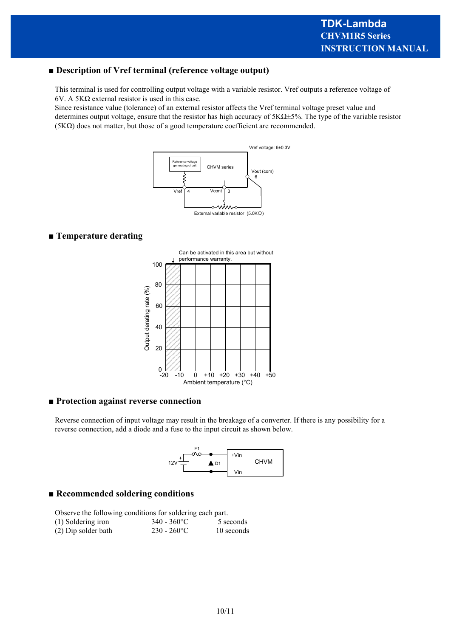#### **■ Description of Vref terminal (reference voltage output)**

This terminal is used for controlling output voltage with a variable resistor. Vref outputs a reference voltage of 6V. A 5KΩ external resistor is used in this case.

Since resistance value (tolerance) of an external resistor affects the Vref terminal voltage preset value and determines output voltage, ensure that the resistor has high accuracy of 5KΩ±5%. The type of the variable resistor (5KΩ) does not matter, but those of a good temperature coefficient are recommended.



#### **■ Temperature derating**



#### **■ Protection against reverse connection**

Reverse connection of input voltage may result in the breakage of a converter. If there is any possibility for a reverse connection, add a diode and a fuse to the input circuit as shown below.



#### **■ Recommended soldering conditions**

Observe the following conditions for soldering each part.<br> $(1)$  Saldaring insurance  $(240, 269)$  $(1)$  Soldering

| $(1)$ Soldering iron | $340 - 300$ C  | 3 seconds  |
|----------------------|----------------|------------|
| (2) Dip solder bath  | $230 - 260$ °C | 10 seconds |